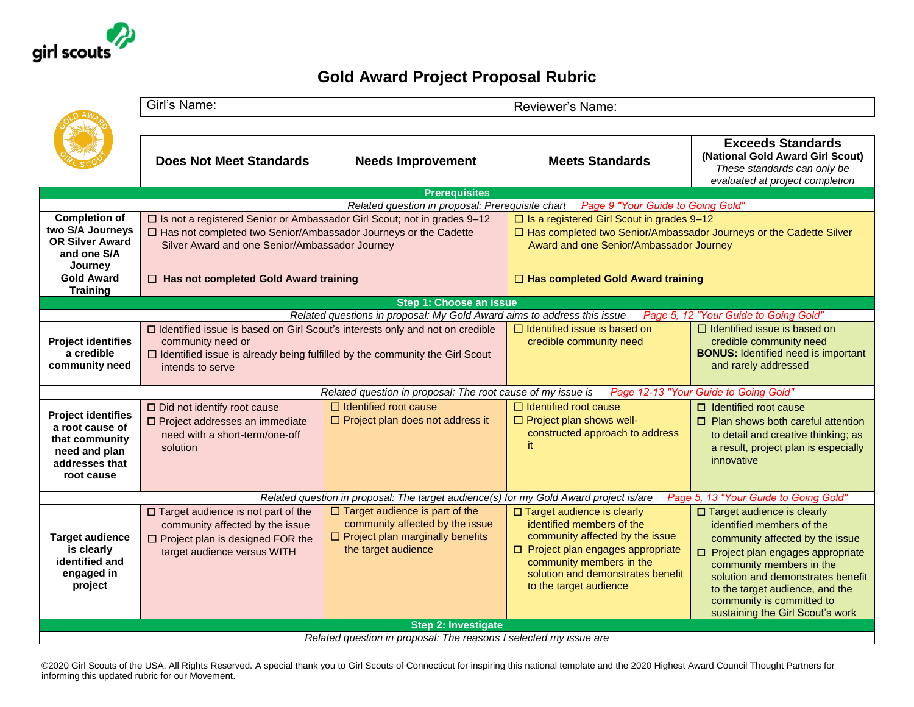

## **Gold Award Project Proposal Rubric**

| <b>Does Not Meet Standards</b><br><b>Needs Improvement</b><br><b>Meets Standards</b>                                                                                                                                                                                                                                                                                                                                                                                                                                                                                                                                                                           | <b>Exceeds Standards</b><br>(National Gold Award Girl Scout)<br>These standards can only be<br>evaluated at project completion                                                                                                                                                                          |  |  |  |  |  |  |
|----------------------------------------------------------------------------------------------------------------------------------------------------------------------------------------------------------------------------------------------------------------------------------------------------------------------------------------------------------------------------------------------------------------------------------------------------------------------------------------------------------------------------------------------------------------------------------------------------------------------------------------------------------------|---------------------------------------------------------------------------------------------------------------------------------------------------------------------------------------------------------------------------------------------------------------------------------------------------------|--|--|--|--|--|--|
| <b>Prerequisites</b><br>Related question in proposal: Prerequisite chart<br><b>Page 9 "Your Guide to Going Gold"</b>                                                                                                                                                                                                                                                                                                                                                                                                                                                                                                                                           |                                                                                                                                                                                                                                                                                                         |  |  |  |  |  |  |
| <b>Completion of</b><br>□ Is not a registered Senior or Ambassador Girl Scout; not in grades 9-12<br>$\square$ Is a registered Girl Scout in grades 9-12                                                                                                                                                                                                                                                                                                                                                                                                                                                                                                       |                                                                                                                                                                                                                                                                                                         |  |  |  |  |  |  |
| two S/A Journeys<br>□ Has not completed two Senior/Ambassador Journeys or the Cadette                                                                                                                                                                                                                                                                                                                                                                                                                                                                                                                                                                          | □ Has completed two Senior/Ambassador Journeys or the Cadette Silver                                                                                                                                                                                                                                    |  |  |  |  |  |  |
| <b>OR Silver Award</b><br>Silver Award and one Senior/Ambassador Journey<br>Award and one Senior/Ambassador Journey<br>and one S/A                                                                                                                                                                                                                                                                                                                                                                                                                                                                                                                             |                                                                                                                                                                                                                                                                                                         |  |  |  |  |  |  |
| Journey                                                                                                                                                                                                                                                                                                                                                                                                                                                                                                                                                                                                                                                        |                                                                                                                                                                                                                                                                                                         |  |  |  |  |  |  |
| <b>Gold Award</b><br>□ Has not completed Gold Award training<br>□ Has completed Gold Award training                                                                                                                                                                                                                                                                                                                                                                                                                                                                                                                                                            |                                                                                                                                                                                                                                                                                                         |  |  |  |  |  |  |
| <b>Training</b><br>Step 1: Choose an issue                                                                                                                                                                                                                                                                                                                                                                                                                                                                                                                                                                                                                     |                                                                                                                                                                                                                                                                                                         |  |  |  |  |  |  |
| Related questions in proposal: My Gold Award aims to address this issue<br>Page 5, 12 "Your Guide to Going Gold"                                                                                                                                                                                                                                                                                                                                                                                                                                                                                                                                               |                                                                                                                                                                                                                                                                                                         |  |  |  |  |  |  |
| $\Box$ Identified issue is based on<br>□ Identified issue is based on Girl Scout's interests only and not on credible<br>credible community need<br><b>Project identifies</b><br>community need or<br>a credible<br>$\Box$ Identified issue is already being fulfilled by the community the Girl Scout<br>community need<br>intends to serve                                                                                                                                                                                                                                                                                                                   | $\Box$ Identified issue is based on<br>credible community need<br><b>BONUS:</b> Identified need is important<br>and rarely addressed                                                                                                                                                                    |  |  |  |  |  |  |
| Related question in proposal: The root cause of my issue is<br>Page 12-13 "Your Guide to Going Gold"                                                                                                                                                                                                                                                                                                                                                                                                                                                                                                                                                           |                                                                                                                                                                                                                                                                                                         |  |  |  |  |  |  |
| $\Box$ Identified root cause<br>$\Box$ Identified root cause<br>$\Box$ Did not identify root cause<br>$\Box$ Identified root cause<br><b>Project identifies</b><br>$\Box$ Project plan shows well-<br>$\Box$ Project plan does not address it<br>□ Project addresses an immediate<br>a root cause of<br>constructed approach to address<br>need with a short-term/one-off<br>that community<br>it.<br>solution<br>need and plan<br>innovative<br>addresses that<br>root cause                                                                                                                                                                                  | $\Box$ Plan shows both careful attention<br>to detail and creative thinking; as<br>a result, project plan is especially                                                                                                                                                                                 |  |  |  |  |  |  |
| Related question in proposal: The target audience(s) for my Gold Award project is/are                                                                                                                                                                                                                                                                                                                                                                                                                                                                                                                                                                          | Page 5, 13 "Your Guide to Going Gold"                                                                                                                                                                                                                                                                   |  |  |  |  |  |  |
| $\Box$ Target audience is part of the<br>$\square$ Target audience is not part of the<br>□ Target audience is clearly<br>community affected by the issue<br>identified members of the<br>community affected by the issue<br>community affected by the issue<br>$\Box$ Project plan marginally benefits<br><b>Target audience</b><br>$\Box$ Project plan is designed FOR the<br>the target audience<br>is clearly<br>$\Box$ Project plan engages appropriate<br>target audience versus WITH<br>identified and<br>community members in the<br>engaged in<br>solution and demonstrates benefit<br>project<br>to the target audience<br><b>Step 2: Investigate</b> | □ Target audience is clearly<br>identified members of the<br>community affected by the issue<br>□ Project plan engages appropriate<br>community members in the<br>solution and demonstrates benefit<br>to the target audience, and the<br>community is committed to<br>sustaining the Girl Scout's work |  |  |  |  |  |  |
| Related question in proposal: The reasons I selected my issue are                                                                                                                                                                                                                                                                                                                                                                                                                                                                                                                                                                                              |                                                                                                                                                                                                                                                                                                         |  |  |  |  |  |  |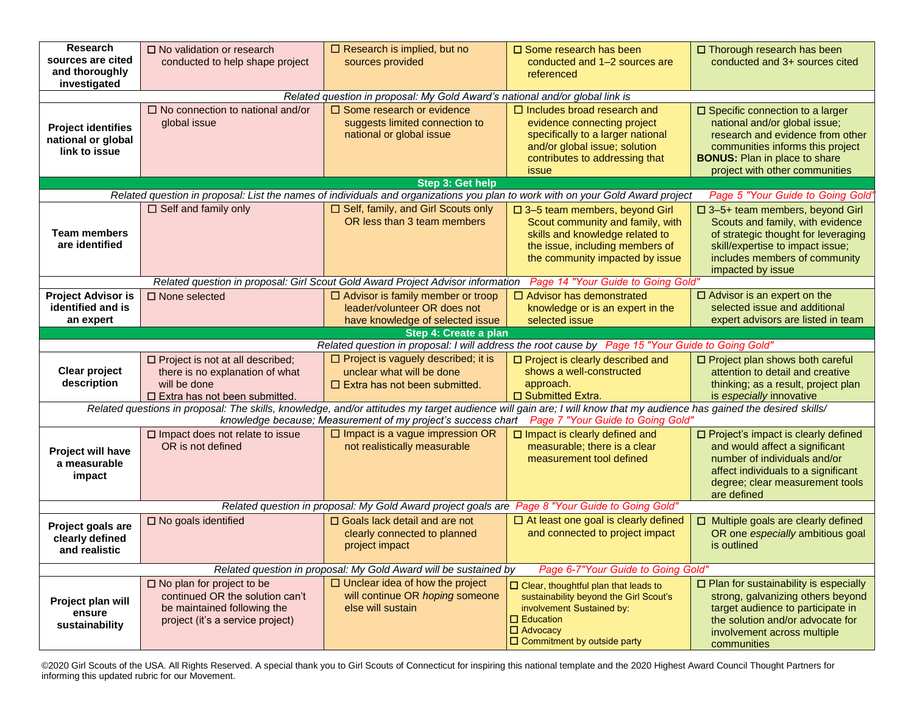| Research<br>sources are cited<br>and thoroughly<br>investigated                                                                                                                                                                                                           | $\Box$ No validation or research<br>conducted to help shape project                                                                       | $\Box$ Research is implied, but no<br>sources provided                                                          | $\Box$ Some research has been<br>conducted and 1-2 sources are<br>referenced                                                                                                                       | $\Box$ Thorough research has been<br>conducted and 3+ sources cited                                                                                                                                                          |  |  |
|---------------------------------------------------------------------------------------------------------------------------------------------------------------------------------------------------------------------------------------------------------------------------|-------------------------------------------------------------------------------------------------------------------------------------------|-----------------------------------------------------------------------------------------------------------------|----------------------------------------------------------------------------------------------------------------------------------------------------------------------------------------------------|------------------------------------------------------------------------------------------------------------------------------------------------------------------------------------------------------------------------------|--|--|
|                                                                                                                                                                                                                                                                           |                                                                                                                                           | Related question in proposal: My Gold Award's national and/or global link is                                    |                                                                                                                                                                                                    |                                                                                                                                                                                                                              |  |  |
| <b>Project identifies</b><br>national or global<br>link to issue                                                                                                                                                                                                          | $\Box$ No connection to national and/or<br>global issue                                                                                   | $\Box$ Some research or evidence<br>suggests limited connection to<br>national or global issue                  | $\Box$ Includes broad research and<br>evidence connecting project<br>specifically to a larger national<br>and/or global issue; solution<br>contributes to addressing that<br>issue                 | $\square$ Specific connection to a larger<br>national and/or global issue;<br>research and evidence from other<br>communities informs this project<br><b>BONUS:</b> Plan in place to share<br>project with other communities |  |  |
|                                                                                                                                                                                                                                                                           |                                                                                                                                           | Step 3: Get help                                                                                                |                                                                                                                                                                                                    |                                                                                                                                                                                                                              |  |  |
|                                                                                                                                                                                                                                                                           |                                                                                                                                           |                                                                                                                 | Related question in proposal: List the names of individuals and organizations you plan to work with on your Gold Award project                                                                     | Page 5 "Your Guide to Going Gold"                                                                                                                                                                                            |  |  |
| <b>Team members</b><br>are identified                                                                                                                                                                                                                                     | $\Box$ Self and family only                                                                                                               | □ Self, family, and Girl Scouts only<br>OR less than 3 team members                                             | □ 3-5 team members, beyond Girl<br>Scout community and family, with<br>skills and knowledge related to<br>the issue, including members of<br>the community impacted by issue                       | □ 3-5+ team members, beyond Girl<br>Scouts and family, with evidence<br>of strategic thought for leveraging<br>skill/expertise to impact issue;<br>includes members of community<br>impacted by issue                        |  |  |
| Related question in proposal: Girl Scout Gold Award Project Advisor information Page 14 "Your Guide to Going Gold"                                                                                                                                                        |                                                                                                                                           |                                                                                                                 |                                                                                                                                                                                                    |                                                                                                                                                                                                                              |  |  |
| <b>Project Advisor is</b><br>identified and is<br>an expert                                                                                                                                                                                                               | $\square$ None selected                                                                                                                   | $\Box$ Advisor is family member or troop<br>leader/volunteer OR does not<br>have knowledge of selected issue    | $\Box$ Advisor has demonstrated<br>knowledge or is an expert in the<br>selected issue                                                                                                              | $\Box$ Advisor is an expert on the<br>selected issue and additional<br>expert advisors are listed in team                                                                                                                    |  |  |
|                                                                                                                                                                                                                                                                           |                                                                                                                                           | Step 4: Create a plan                                                                                           |                                                                                                                                                                                                    |                                                                                                                                                                                                                              |  |  |
|                                                                                                                                                                                                                                                                           |                                                                                                                                           |                                                                                                                 | Related question in proposal: I will address the root cause by Page 15 "Your Guide to Going Gold"                                                                                                  |                                                                                                                                                                                                                              |  |  |
| <b>Clear project</b><br>description                                                                                                                                                                                                                                       | $\Box$ Project is not at all described;<br>there is no explanation of what<br>will be done<br>$\square$ Extra has not been submitted.     | $\Box$ Project is vaguely described; it is<br>unclear what will be done<br>$\Box$ Extra has not been submitted. | □ Project is clearly described and<br>shows a well-constructed<br>approach.<br>□ Submitted Extra.                                                                                                  | □ Project plan shows both careful<br>attention to detail and creative<br>thinking; as a result, project plan<br>is especially innovative                                                                                     |  |  |
| Related questions in proposal: The skills, knowledge, and/or attitudes my target audience will gain are; I will know that my audience has gained the desired skills/<br>knowledge because; Measurement of my project's success chart<br>Page 7 "Your Guide to Going Gold" |                                                                                                                                           |                                                                                                                 |                                                                                                                                                                                                    |                                                                                                                                                                                                                              |  |  |
| <b>Project will have</b><br>a measurable<br>impact                                                                                                                                                                                                                        | $\square$ Impact does not relate to issue<br>OR is not defined                                                                            | $\Box$ Impact is a vague impression OR<br>not realistically measurable                                          | $\square$ Impact is clearly defined and<br>measurable; there is a clear<br>measurement tool defined                                                                                                | □ Project's impact is clearly defined<br>and would affect a significant<br>number of individuals and/or<br>affect individuals to a significant<br>degree; clear measurement tools<br>are defined                             |  |  |
| Related question in proposal: My Gold Award project goals are Page 8 "Your Guide to Going Gold"                                                                                                                                                                           |                                                                                                                                           |                                                                                                                 |                                                                                                                                                                                                    |                                                                                                                                                                                                                              |  |  |
| Project goals are<br>clearly defined<br>and realistic                                                                                                                                                                                                                     | $\square$ No goals identified                                                                                                             | $\Box$ Goals lack detail and are not<br>clearly connected to planned<br>project impact                          | $\Box$ At least one goal is clearly defined<br>and connected to project impact                                                                                                                     | $\Box$ Multiple goals are clearly defined<br>OR one especially ambitious goal<br>is outlined                                                                                                                                 |  |  |
| Page 6-7"Your Guide to Going Gold"<br>Related question in proposal: My Gold Award will be sustained by                                                                                                                                                                    |                                                                                                                                           |                                                                                                                 |                                                                                                                                                                                                    |                                                                                                                                                                                                                              |  |  |
| Project plan will<br>ensure<br>sustainability                                                                                                                                                                                                                             | $\square$ No plan for project to be<br>continued OR the solution can't<br>be maintained following the<br>project (it's a service project) | $\Box$ Unclear idea of how the project<br>will continue OR hoping someone<br>else will sustain                  | $\Box$ Clear, thoughtful plan that leads to<br>sustainability beyond the Girl Scout's<br>involvement Sustained by:<br>$\Box$ Education<br>$\Box$ Advocacy<br>$\square$ Commitment by outside party | $\Box$ Plan for sustainability is especially<br>strong, galvanizing others beyond<br>target audience to participate in<br>the solution and/or advocate for<br>involvement across multiple<br>communities                     |  |  |

©2020 Girl Scouts of the USA. All Rights Reserved. A special thank you to Girl Scouts of Connecticut for inspiring this national template and the 2020 Highest Award Council Thought Partners for informing this updated rubric for our Movement.